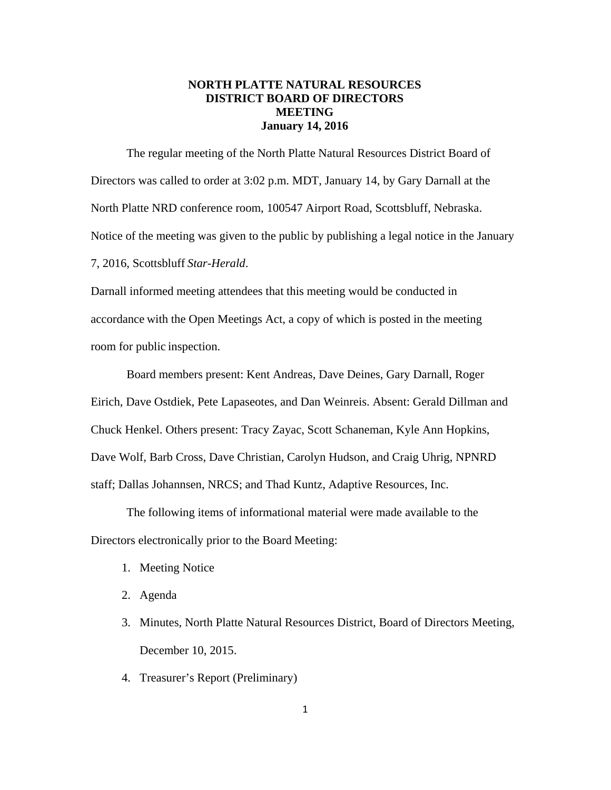# **NORTH PLATTE NATURAL RESOURCES DISTRICT BOARD OF DIRECTORS MEETING January 14, 2016**

The regular meeting of the North Platte Natural Resources District Board of Directors was called to order at 3:02 p.m. MDT, January 14, by Gary Darnall at the North Platte NRD conference room, 100547 Airport Road, Scottsbluff, Nebraska. Notice of the meeting was given to the public by publishing a legal notice in the January 7, 2016, Scottsbluff *Star-Herald*.

Darnall informed meeting attendees that this meeting would be conducted in accordance with the Open Meetings Act, a copy of which is posted in the meeting room for public inspection.

Board members present: Kent Andreas, Dave Deines, Gary Darnall, Roger Eirich, Dave Ostdiek, Pete Lapaseotes, and Dan Weinreis. Absent: Gerald Dillman and Chuck Henkel. Others present: Tracy Zayac, Scott Schaneman, Kyle Ann Hopkins, Dave Wolf, Barb Cross, Dave Christian, Carolyn Hudson, and Craig Uhrig, NPNRD staff; Dallas Johannsen, NRCS; and Thad Kuntz, Adaptive Resources, Inc.

The following items of informational material were made available to the Directors electronically prior to the Board Meeting:

- 1. Meeting Notice
- 2. Agenda
- 3. Minutes, North Platte Natural Resources District, Board of Directors Meeting, December 10, 2015.
- 4. Treasurer's Report (Preliminary)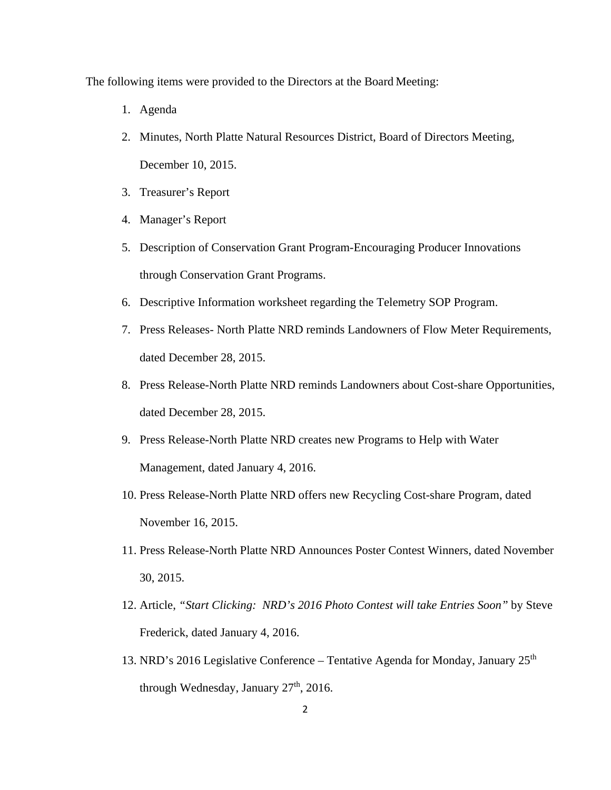The following items were provided to the Directors at the Board Meeting:

- 1. Agenda
- 2. Minutes, North Platte Natural Resources District, Board of Directors Meeting, December 10, 2015.
- 3. Treasurer's Report
- 4. Manager's Report
- 5. Description of Conservation Grant Program-Encouraging Producer Innovations through Conservation Grant Programs.
- 6. Descriptive Information worksheet regarding the Telemetry SOP Program.
- 7. Press Releases- North Platte NRD reminds Landowners of Flow Meter Requirements, dated December 28, 2015.
- 8. Press Release-North Platte NRD reminds Landowners about Cost-share Opportunities, dated December 28, 2015.
- 9. Press Release-North Platte NRD creates new Programs to Help with Water Management, dated January 4, 2016.
- 10. Press Release-North Platte NRD offers new Recycling Cost-share Program, dated November 16, 2015.
- 11. Press Release-North Platte NRD Announces Poster Contest Winners, dated November 30, 2015.
- 12. Article, *"Start Clicking: NRD's 2016 Photo Contest will take Entries Soon"* by Steve Frederick, dated January 4, 2016.
- 13. NRD's 2016 Legislative Conference Tentative Agenda for Monday, January  $25<sup>th</sup>$ through Wednesday, January 27<sup>th</sup>, 2016.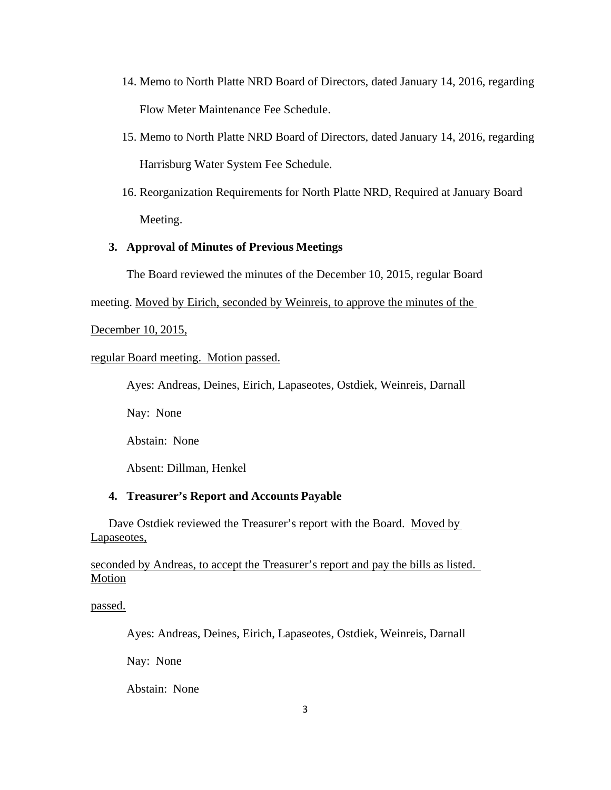- 14. Memo to North Platte NRD Board of Directors, dated January 14, 2016, regarding Flow Meter Maintenance Fee Schedule.
- 15. Memo to North Platte NRD Board of Directors, dated January 14, 2016, regarding Harrisburg Water System Fee Schedule.
- 16. Reorganization Requirements for North Platte NRD, Required at January Board Meeting.

## **3. Approval of Minutes of Previous Meetings**

The Board reviewed the minutes of the December 10, 2015, regular Board

meeting. Moved by Eirich, seconded by Weinreis, to approve the minutes of the

December 10, 2015,

## regular Board meeting. Motion passed.

Ayes: Andreas, Deines, Eirich, Lapaseotes, Ostdiek, Weinreis, Darnall

Nay: None

Abstain: None

Absent: Dillman, Henkel

## **4. Treasurer's Report and Accounts Payable**

Dave Ostdiek reviewed the Treasurer's report with the Board. Moved by Lapaseotes,

## seconded by Andreas, to accept the Treasurer's report and pay the bills as listed. Motion

passed.

Ayes: Andreas, Deines, Eirich, Lapaseotes, Ostdiek, Weinreis, Darnall

Nay: None

Abstain: None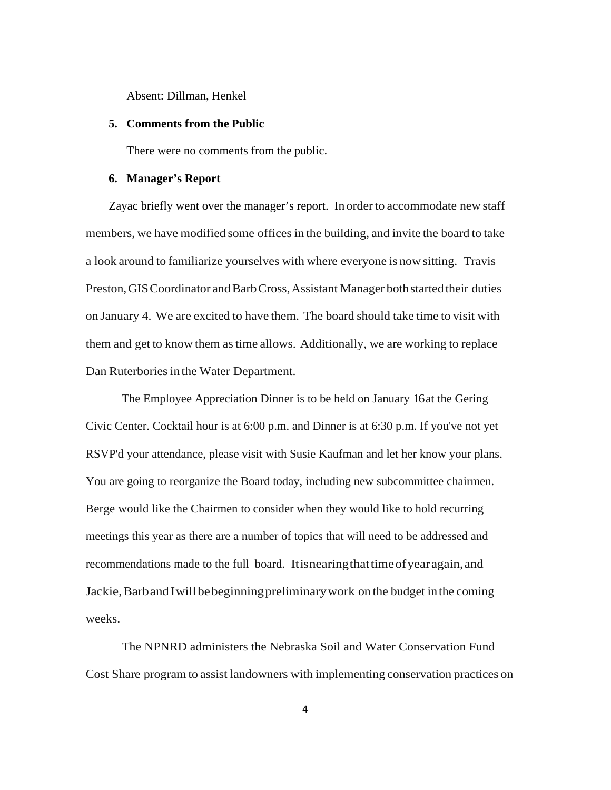Absent: Dillman, Henkel

#### **5. Comments from the Public**

There were no comments from the public.

#### **6. Manager's Report**

Zayac briefly went over the manager's report. In order to accommodate new staff members, we have modified some offices in the building, and invite the board to take a look around to familiarize yourselves with where everyone is now sitting. Travis Preston, GIS Coordinator and Barb Cross, Assistant Manager both started their duties on January 4. We are excited to have them. The board should take time to visit with them and get to know them as time allows. Additionally, we are working to replace Dan Ruterbories in the Water Department.

The Employee Appreciation Dinner is to be held on January 16 at the Gering Civic Center. Cocktail hour is at 6:00 p.m. and Dinner is at 6:30 p.m. If you've not yet RSVP'd your attendance, please visit with Susie Kaufman and let her know your plans. You are going to reorganize the Board today, including new subcommittee chairmen. Berge would like the Chairmen to consider when they would like to hold recurring meetings this year as there are a number of topics that will need to be addressed and recommendations made to the full board. It is nearing that time of year again, and Jackie, Barb and I will be beginning preliminary work on the budget in the coming weeks.

The NPNRD administers the Nebraska Soil and Water Conservation Fund Cost Share program to assist landowners with implementing conservation practices on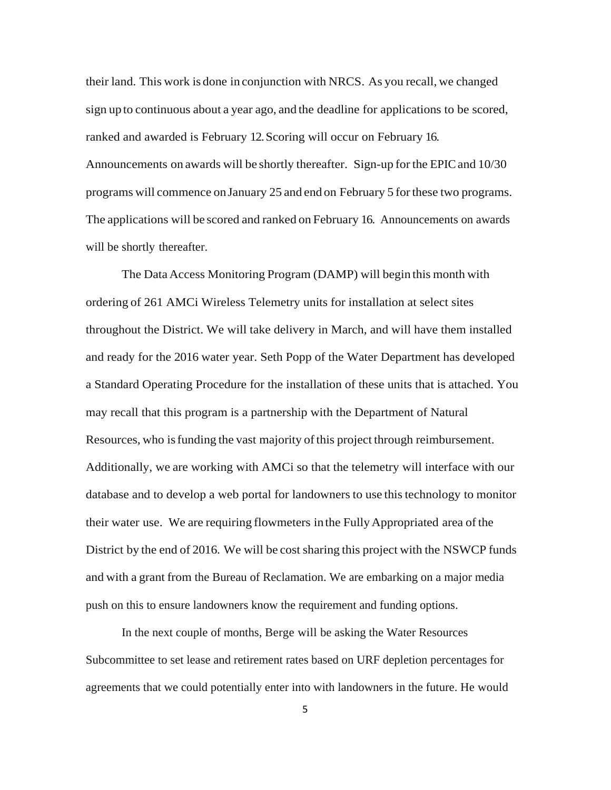their land. This work is done in conjunction with NRCS. As you recall, we changed sign up to continuous about a year ago, and the deadline for applications to be scored, ranked and awarded is February 12. Scoring will occur on February 16. Announcements on awards will be shortly thereafter. Sign-up for the EPIC and 10/30 programs will commence on January 25 and end on February 5 for these two programs. The applications will be scored and ranked on February 16. Announcements on awards will be shortly thereafter.

The Data Access Monitoring Program (DAMP) will begin this month with ordering of 261 AMCi Wireless Telemetry units for installation at select sites throughout the District. We will take delivery in March, and will have them installed and ready for the 2016 water year. Seth Popp of the Water Department has developed a Standard Operating Procedure for the installation of these units that is attached. You may recall that this program is a partnership with the Department of Natural Resources, who is funding the vast majority of this project through reimbursement. Additionally, we are working with AMCi so that the telemetry will interface with our database and to develop a web portal for landowners to use this technology to monitor their water use. We are requiring flowmeters in the Fully Appropriated area of the District by the end of 2016. We will be cost sharing this project with the NSWCP funds and with a grant from the Bureau of Reclamation. We are embarking on a major media push on this to ensure landowners know the requirement and funding options.

In the next couple of months, Berge will be asking the Water Resources Subcommittee to set lease and retirement rates based on URF depletion percentages for agreements that we could potentially enter into with landowners in the future. He would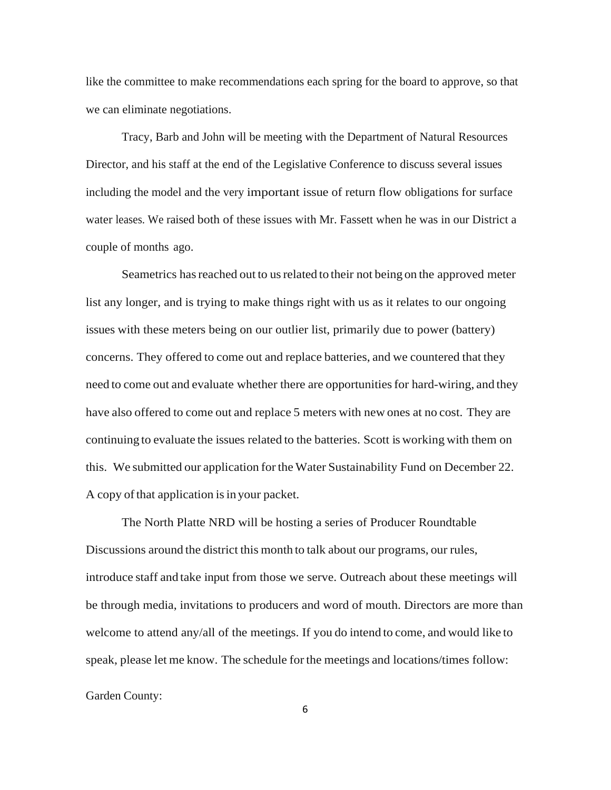like the committee to make recommendations each spring for the board to approve, so that we can eliminate negotiations.

Tracy, Barb and John will be meeting with the Department of Natural Resources Director, and his staff at the end of the Legislative Conference to discuss several issues including the model and the very important issue of return flow obligations for surface water leases. We raised both of these issues with Mr. Fassett when he was in our District a couple of months ago.

Seametrics has reached out to us related to their not being on the approved meter list any longer, and is trying to make things right with us as it relates to our ongoing issues with these meters being on our outlier list, primarily due to power (battery) concerns. They offered to come out and replace batteries, and we countered that they need to come out and evaluate whether there are opportunities for hard-wiring, and they have also offered to come out and replace 5 meters with new ones at no cost. They are continuing to evaluate the issues related to the batteries. Scott is working with them on this. We submitted our application for the Water Sustainability Fund on December 22. A copy of that application is in your packet.

The North Platte NRD will be hosting a series of Producer Roundtable Discussions around the district this month to talk about our programs, our rules, introduce staff and take input from those we serve. Outreach about these meetings will be through media, invitations to producers and word of mouth. Directors are more than welcome to attend any/all of the meetings. If you do intend to come, and would like to speak, please let me know. The schedule for the meetings and locations/times follow:

Garden County:

6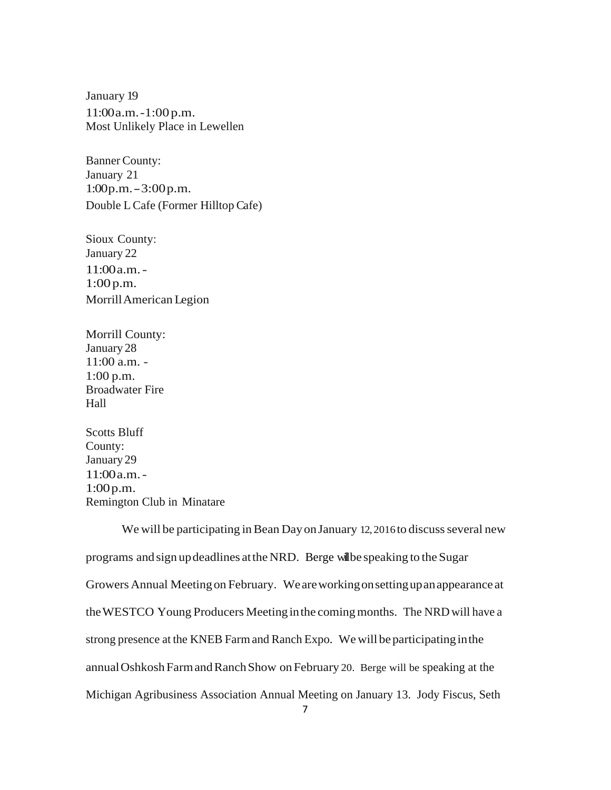January 19 11:00 a.m. -1:00 p.m. Most Unlikely Place in Lewellen

Banner County: January 21  $1:00 p.m. - 3:00 p.m.$ Double L Cafe (Former Hilltop Cafe)

Sioux County: January 22 11:00 a.m. - 1:00 p.m. Morrill American Legion

Morrill County: January 28 11:00 a.m. - 1:00 p.m. Broadwater Fire Hall

Scotts Bluff County: January 29 11:00 a.m. - 1:00 p.m. Remington Club in Minatare

We will be participating in Bean Day on January 12, 2016 to discuss several new programs and sign up deadlines at the NRD. Berge will be speaking to the Sugar Growers Annual Meeting on February. We are working on setting up an appearance at the WESTCO Young Producers Meeting in the coming months. The NRD will have a strong presence at the KNEB Farm and Ranch Expo. We will be participating in the annual Oshkosh Farm and Ranch Show on February 20. Berge will be speaking at the Michigan Agribusiness Association Annual Meeting on January 13. Jody Fiscus, Seth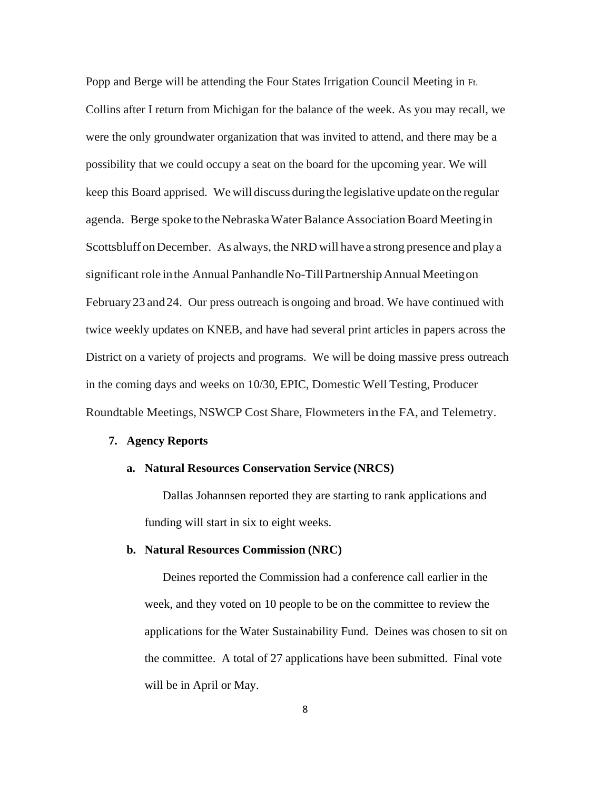Popp and Berge will be attending the Four States Irrigation Council Meeting in Ft. Collins after I return from Michigan for the balance of the week. As you may recall, we were the only groundwater organization that was invited to attend, and there may be a possibility that we could occupy a seat on the board for the upcoming year. We will keep this Board apprised. We will discuss during the legislative update on the regular agenda. Berge spoke to the Nebraska Water Balance Association Board Meeting in Scottsbluff on December. As always, the NRD will have a strong presence and play a significant role in the Annual Panhandle No-Till Partnership Annual Meeting on February 23 and 24. Our press outreach is ongoing and broad. We have continued with twice weekly updates on KNEB, and have had several print articles in papers across the District on a variety of projects and programs. We will be doing massive press outreach in the coming days and weeks on 10/30, EPIC, Domestic Well Testing, Producer Roundtable Meetings, NSWCP Cost Share, Flowmeters in the FA, and Telemetry.

### **7. Agency Reports**

### **a. Natural Resources Conservation Service (NRCS)**

Dallas Johannsen reported they are starting to rank applications and funding will start in six to eight weeks.

#### **b. Natural Resources Commission (NRC)**

Deines reported the Commission had a conference call earlier in the week, and they voted on 10 people to be on the committee to review the applications for the Water Sustainability Fund. Deines was chosen to sit on the committee. A total of 27 applications have been submitted. Final vote will be in April or May.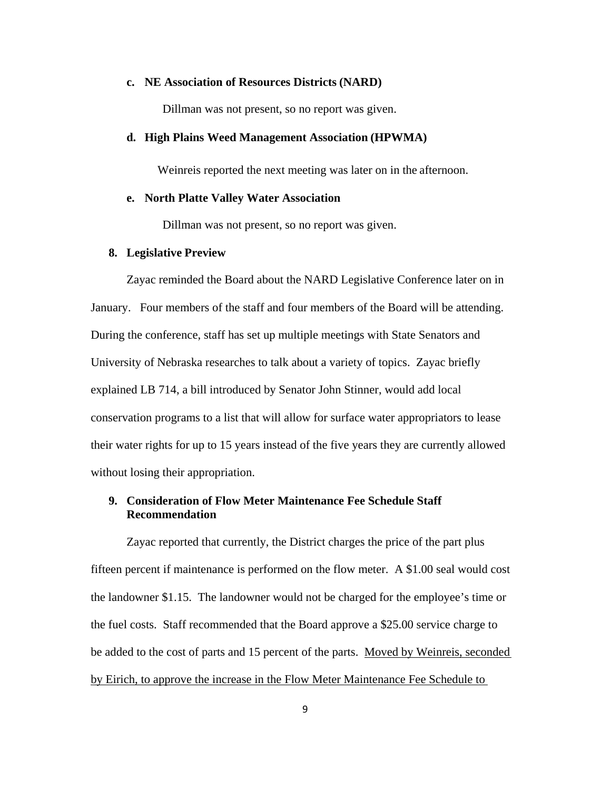#### **c. NE Association of Resources Districts (NARD)**

Dillman was not present, so no report was given.

#### **d. High Plains Weed Management Association (HPWMA)**

Weinreis reported the next meeting was later on in the afternoon.

#### **e. North Platte Valley Water Association**

Dillman was not present, so no report was given.

#### **8. Legislative Preview**

Zayac reminded the Board about the NARD Legislative Conference later on in January. Four members of the staff and four members of the Board will be attending. During the conference, staff has set up multiple meetings with State Senators and University of Nebraska researches to talk about a variety of topics. Zayac briefly explained LB 714, a bill introduced by Senator John Stinner, would add local conservation programs to a list that will allow for surface water appropriators to lease their water rights for up to 15 years instead of the five years they are currently allowed without losing their appropriation.

# **9. Consideration of Flow Meter Maintenance Fee Schedule Staff Recommendation**

Zayac reported that currently, the District charges the price of the part plus fifteen percent if maintenance is performed on the flow meter. A \$1.00 seal would cost the landowner \$1.15. The landowner would not be charged for the employee's time or the fuel costs. Staff recommended that the Board approve a \$25.00 service charge to be added to the cost of parts and 15 percent of the parts. Moved by Weinreis, seconded by Eirich, to approve the increase in the Flow Meter Maintenance Fee Schedule to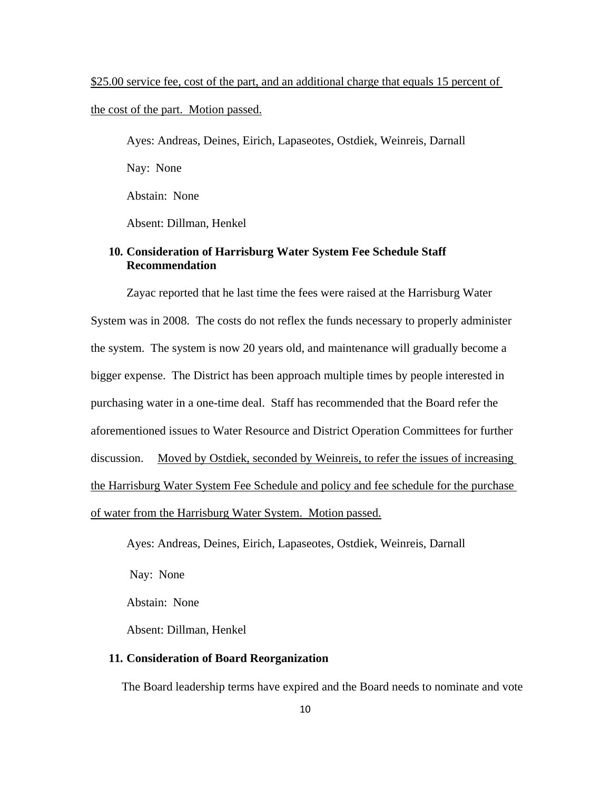\$25.00 service fee, cost of the part, and an additional charge that equals 15 percent of the cost of the part. Motion passed.

Ayes: Andreas, Deines, Eirich, Lapaseotes, Ostdiek, Weinreis, Darnall Nay: None Abstain: None Absent: Dillman, Henkel

## **10. Consideration of Harrisburg Water System Fee Schedule Staff Recommendation**

Zayac reported that he last time the fees were raised at the Harrisburg Water System was in 2008. The costs do not reflex the funds necessary to properly administer the system. The system is now 20 years old, and maintenance will gradually become a bigger expense. The District has been approach multiple times by people interested in purchasing water in a one-time deal. Staff has recommended that the Board refer the aforementioned issues to Water Resource and District Operation Committees for further discussion. Moved by Ostdiek, seconded by Weinreis, to refer the issues of increasing the Harrisburg Water System Fee Schedule and policy and fee schedule for the purchase of water from the Harrisburg Water System. Motion passed.

Ayes: Andreas, Deines, Eirich, Lapaseotes, Ostdiek, Weinreis, Darnall

Nay: None

Abstain: None

Absent: Dillman, Henkel

## **11. Consideration of Board Reorganization**

The Board leadership terms have expired and the Board needs to nominate and vote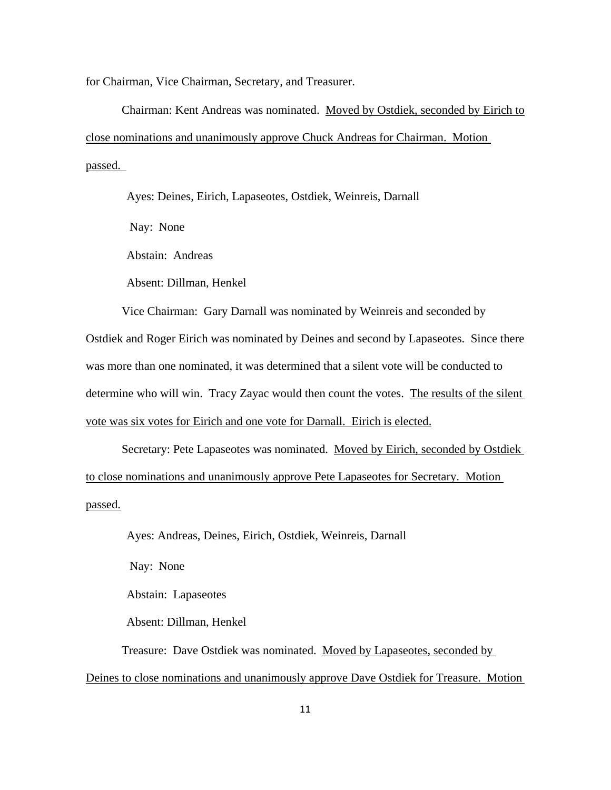for Chairman, Vice Chairman, Secretary, and Treasurer.

 Chairman: Kent Andreas was nominated. Moved by Ostdiek, seconded by Eirich to close nominations and unanimously approve Chuck Andreas for Chairman. Motion passed.

Ayes: Deines, Eirich, Lapaseotes, Ostdiek, Weinreis, Darnall

Nay: None

Abstain: Andreas

Absent: Dillman, Henkel

 Vice Chairman: Gary Darnall was nominated by Weinreis and seconded by Ostdiek and Roger Eirich was nominated by Deines and second by Lapaseotes. Since there was more than one nominated, it was determined that a silent vote will be conducted to determine who will win. Tracy Zayac would then count the votes. The results of the silent vote was six votes for Eirich and one vote for Darnall. Eirich is elected.

Secretary: Pete Lapaseotes was nominated. Moved by Eirich, seconded by Ostdiek to close nominations and unanimously approve Pete Lapaseotes for Secretary. Motion passed.

Ayes: Andreas, Deines, Eirich, Ostdiek, Weinreis, Darnall

Nay: None

Abstain: Lapaseotes

Absent: Dillman, Henkel

Treasure: Dave Ostdiek was nominated. Moved by Lapaseotes, seconded by

Deines to close nominations and unanimously approve Dave Ostdiek for Treasure. Motion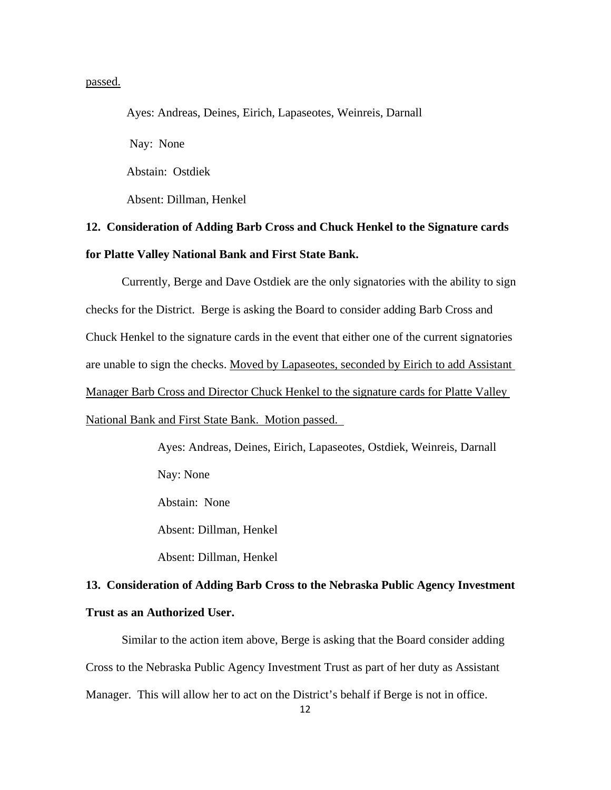passed.

Ayes: Andreas, Deines, Eirich, Lapaseotes, Weinreis, Darnall Nay: None Abstain: Ostdiek Absent: Dillman, Henkel

# **12. Consideration of Adding Barb Cross and Chuck Henkel to the Signature cards for Platte Valley National Bank and First State Bank.**

 Currently, Berge and Dave Ostdiek are the only signatories with the ability to sign checks for the District. Berge is asking the Board to consider adding Barb Cross and Chuck Henkel to the signature cards in the event that either one of the current signatories are unable to sign the checks. Moved by Lapaseotes, seconded by Eirich to add Assistant Manager Barb Cross and Director Chuck Henkel to the signature cards for Platte Valley National Bank and First State Bank. Motion passed.

> Ayes: Andreas, Deines, Eirich, Lapaseotes, Ostdiek, Weinreis, Darnall Nay: None Abstain: None

Absent: Dillman, Henkel

Absent: Dillman, Henkel

# **13. Consideration of Adding Barb Cross to the Nebraska Public Agency Investment Trust as an Authorized User.**

 Similar to the action item above, Berge is asking that the Board consider adding Cross to the Nebraska Public Agency Investment Trust as part of her duty as Assistant Manager. This will allow her to act on the District's behalf if Berge is not in office.